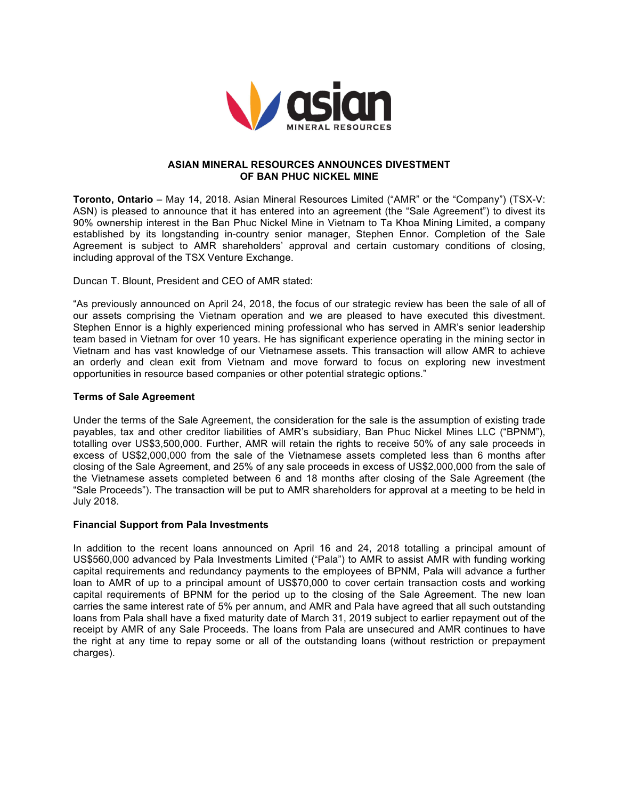

# **ASIAN MINERAL RESOURCES ANNOUNCES DIVESTMENT OF BAN PHUC NICKEL MINE**

**Toronto, Ontario** – May 14, 2018. Asian Mineral Resources Limited ("AMR" or the "Company") (TSX-V: ASN) is pleased to announce that it has entered into an agreement (the "Sale Agreement") to divest its 90% ownership interest in the Ban Phuc Nickel Mine in Vietnam to Ta Khoa Mining Limited, a company established by its longstanding in-country senior manager, Stephen Ennor. Completion of the Sale Agreement is subject to AMR shareholders' approval and certain customary conditions of closing, including approval of the TSX Venture Exchange.

Duncan T. Blount, President and CEO of AMR stated:

"As previously announced on April 24, 2018, the focus of our strategic review has been the sale of all of our assets comprising the Vietnam operation and we are pleased to have executed this divestment. Stephen Ennor is a highly experienced mining professional who has served in AMR's senior leadership team based in Vietnam for over 10 years. He has significant experience operating in the mining sector in Vietnam and has vast knowledge of our Vietnamese assets. This transaction will allow AMR to achieve an orderly and clean exit from Vietnam and move forward to focus on exploring new investment opportunities in resource based companies or other potential strategic options."

# **Terms of Sale Agreement**

Under the terms of the Sale Agreement, the consideration for the sale is the assumption of existing trade payables, tax and other creditor liabilities of AMR's subsidiary, Ban Phuc Nickel Mines LLC ("BPNM"), totalling over US\$3,500,000. Further, AMR will retain the rights to receive 50% of any sale proceeds in excess of US\$2,000,000 from the sale of the Vietnamese assets completed less than 6 months after closing of the Sale Agreement, and 25% of any sale proceeds in excess of US\$2,000,000 from the sale of the Vietnamese assets completed between 6 and 18 months after closing of the Sale Agreement (the "Sale Proceeds"). The transaction will be put to AMR shareholders for approval at a meeting to be held in July 2018.

## **Financial Support from Pala Investments**

In addition to the recent loans announced on April 16 and 24, 2018 totalling a principal amount of US\$560,000 advanced by Pala Investments Limited ("Pala") to AMR to assist AMR with funding working capital requirements and redundancy payments to the employees of BPNM, Pala will advance a further loan to AMR of up to a principal amount of US\$70,000 to cover certain transaction costs and working capital requirements of BPNM for the period up to the closing of the Sale Agreement. The new loan carries the same interest rate of 5% per annum, and AMR and Pala have agreed that all such outstanding loans from Pala shall have a fixed maturity date of March 31, 2019 subject to earlier repayment out of the receipt by AMR of any Sale Proceeds. The loans from Pala are unsecured and AMR continues to have the right at any time to repay some or all of the outstanding loans (without restriction or prepayment charges).